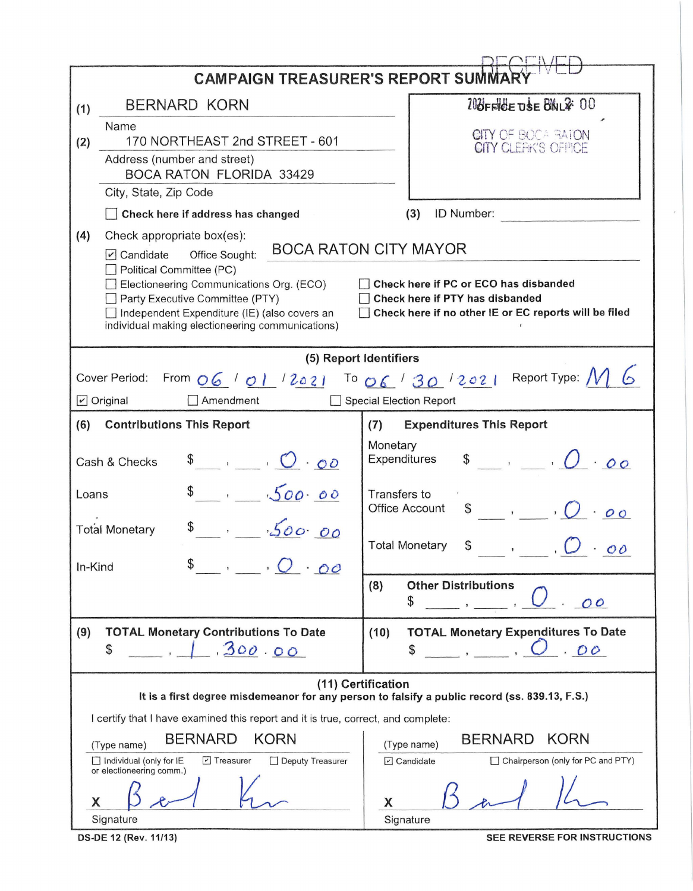| <b>CAMPAIGN TREASURER'S REPORT SUMMAR</b>                                                                                                                                                                                                                                                                            |                                                                                                                   |                                                                                                                     |  |  |  |  |  |  |
|----------------------------------------------------------------------------------------------------------------------------------------------------------------------------------------------------------------------------------------------------------------------------------------------------------------------|-------------------------------------------------------------------------------------------------------------------|---------------------------------------------------------------------------------------------------------------------|--|--|--|--|--|--|
| (1)                                                                                                                                                                                                                                                                                                                  | <b>BERNARD KORN</b>                                                                                               | 108FFICE USE BALZ: 00                                                                                               |  |  |  |  |  |  |
| (2)                                                                                                                                                                                                                                                                                                                  | Name<br>170 NORTHEAST 2nd STREET - 601                                                                            | CITY OF BOCA BATON<br>CITY CLEFK'S OFFICE                                                                           |  |  |  |  |  |  |
|                                                                                                                                                                                                                                                                                                                      | Address (number and street)<br><b>BOCA RATON FLORIDA 33429</b>                                                    |                                                                                                                     |  |  |  |  |  |  |
|                                                                                                                                                                                                                                                                                                                      | City, State, Zip Code                                                                                             |                                                                                                                     |  |  |  |  |  |  |
|                                                                                                                                                                                                                                                                                                                      | Check here if address has changed                                                                                 | ID Number:<br>(3)                                                                                                   |  |  |  |  |  |  |
| (4)                                                                                                                                                                                                                                                                                                                  | Check appropriate box(es):<br>$\triangleright$ Candidate<br>Office Sought:<br>Political Committee (PC)            | <b>BOCA RATON CITY MAYOR</b>                                                                                        |  |  |  |  |  |  |
| Electioneering Communications Org. (ECO)<br>Check here if PC or ECO has disbanded<br>Party Executive Committee (PTY)<br>Check here if PTY has disbanded<br>Check here if no other IE or EC reports will be filed<br>Independent Expenditure (IE) (also covers an<br>individual making electioneering communications) |                                                                                                                   |                                                                                                                     |  |  |  |  |  |  |
| (5) Report Identifiers                                                                                                                                                                                                                                                                                               |                                                                                                                   |                                                                                                                     |  |  |  |  |  |  |
| From $\underline{06}$ / $\underline{01}$ / $2021$ To $\underline{06}$ / $30$ / $2021$ Report Type: $M$<br>Cover Period:                                                                                                                                                                                              |                                                                                                                   |                                                                                                                     |  |  |  |  |  |  |
| $\triangleright$ Original<br>Amendment<br>Special Election Report                                                                                                                                                                                                                                                    |                                                                                                                   |                                                                                                                     |  |  |  |  |  |  |
| (6)                                                                                                                                                                                                                                                                                                                  | <b>Contributions This Report</b>                                                                                  | <b>Expenditures This Report</b><br>(7)                                                                              |  |  |  |  |  |  |
| $\begin{array}{ccccc}\n\bullet & , & \cdot & \bullet & \bullet\n\end{array}$<br>Cash & Checks                                                                                                                                                                                                                        |                                                                                                                   | Monetary<br>Expenditures                                                                                            |  |  |  |  |  |  |
| Loans                                                                                                                                                                                                                                                                                                                | $s = 500.00$                                                                                                      | Transfers to<br><b>Office Account</b><br>$\cdot$ , $\circ$<br>\$                                                    |  |  |  |  |  |  |
|                                                                                                                                                                                                                                                                                                                      | $s = 500000$<br><b>Total Monetary</b>                                                                             | <b>Total Monetary</b><br>\$<br>$\overline{\mathcal{O}}\mathcal{O}$                                                  |  |  |  |  |  |  |
| In-Kind                                                                                                                                                                                                                                                                                                              | $\cdot$ $\cdot$ $\circ$ $\circ$                                                                                   |                                                                                                                     |  |  |  |  |  |  |
|                                                                                                                                                                                                                                                                                                                      |                                                                                                                   | <b>Other Distributions</b><br>(8)<br>\$<br>O <sup>O</sup>                                                           |  |  |  |  |  |  |
| (9)                                                                                                                                                                                                                                                                                                                  | <b>TOTAL Monetary Contributions To Date</b><br>300.00<br>\$                                                       | (10)<br><b>TOTAL Monetary Expenditures To Date</b><br>.00<br>\$                                                     |  |  |  |  |  |  |
|                                                                                                                                                                                                                                                                                                                      |                                                                                                                   | (11) Certification<br>It is a first degree misdemeanor for any person to falsify a public record (ss. 839.13, F.S.) |  |  |  |  |  |  |
| I certify that I have examined this report and it is true, correct, and complete:                                                                                                                                                                                                                                    |                                                                                                                   |                                                                                                                     |  |  |  |  |  |  |
|                                                                                                                                                                                                                                                                                                                      | <b>BERNARD</b><br><b>KORN</b><br>(Type name)<br>$\Box$ Individual (only for IE<br>□ Treasurer<br>Deputy Treasurer | <b>KORN</b><br><b>BERNARD</b><br>(Type name)<br>Chairperson (only for PC and PTY)<br>$\triangledown$ Candidate      |  |  |  |  |  |  |
| Х                                                                                                                                                                                                                                                                                                                    | or electioneering comm.)                                                                                          | X                                                                                                                   |  |  |  |  |  |  |
|                                                                                                                                                                                                                                                                                                                      | Signature                                                                                                         | Signature                                                                                                           |  |  |  |  |  |  |